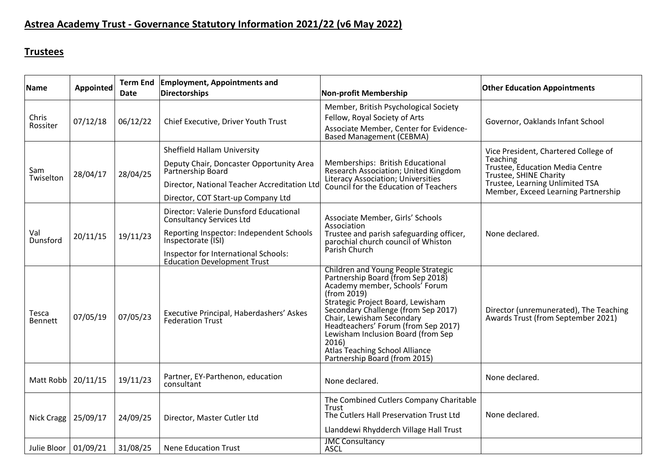## **Astrea Academy Trust - Governance Statutory Information 2021/22 (v6 May 2022)**

## **Trustees**

| Name                    | Appointed | <b>Term End</b><br><b>Date</b> | <b>Employment, Appointments and</b><br><b>Directorships</b>                                                                                                                                                               | <b>Non-profit Membership</b>                                                                                                                                                                                                                                                                                                                                                                       | <b>Other Education Appointments</b>                                                                                                                                                     |
|-------------------------|-----------|--------------------------------|---------------------------------------------------------------------------------------------------------------------------------------------------------------------------------------------------------------------------|----------------------------------------------------------------------------------------------------------------------------------------------------------------------------------------------------------------------------------------------------------------------------------------------------------------------------------------------------------------------------------------------------|-----------------------------------------------------------------------------------------------------------------------------------------------------------------------------------------|
| Chris<br>Rossiter       | 07/12/18  | 06/12/22                       | Chief Executive, Driver Youth Trust                                                                                                                                                                                       | Member, British Psychological Society<br>Fellow, Royal Society of Arts<br>Associate Member, Center for Evidence-<br><b>Based Management (CEBMA)</b>                                                                                                                                                                                                                                                | Governor, Oaklands Infant School                                                                                                                                                        |
| Sam<br>Twiselton        | 28/04/17  | 28/04/25                       | Sheffield Hallam University<br>Deputy Chair, Doncaster Opportunity Area<br>Partnership Board<br>Director, National Teacher Accreditation Ltd<br>Director, COT Start-up Company Ltd                                        | Memberships: British Educational<br>Research Association; United Kingdom<br>Literacy Association; Universities<br>Council for the Education of Teachers                                                                                                                                                                                                                                            | Vice President, Chartered College of<br>Teaching<br>Trustee, Education Media Centre<br>Trustee, SHINE Charity<br>Trustee, Learning Unlimited TSA<br>Member, Exceed Learning Partnership |
| Val<br>Dunsford         | 20/11/15  | 19/11/23                       | Director: Valerie Dunsford Educational<br><b>Consultancy Services Ltd</b><br>Reporting Inspector: Independent Schools<br>Inspectorate (ISI)<br>Inspector for International Schools:<br><b>Education Development Trust</b> | Associate Member, Girls' Schools<br>Association<br>Trustee and parish safeguarding officer,<br>parochial church council of Whiston<br>Parish Church                                                                                                                                                                                                                                                | None declared.                                                                                                                                                                          |
| Tesca<br><b>Bennett</b> | 07/05/19  | 07/05/23                       | Executive Principal, Haberdashers' Askes<br><b>Federation Trust</b>                                                                                                                                                       | Children and Young People Strategic<br>Partnership Board (from Sep 2018)<br>Academy member, Schools' Forum<br>(from 2019)<br>Strategic Project Board, Lewisham<br>Secondary Challenge (from Sep 2017)<br>Chair, Lewisham Secondary<br>Headteachers' Forum (from Sep 2017)<br>Lewisham Inclusion Board (from Sep<br>2016)<br><b>Atlas Teaching School Alliance</b><br>Partnership Board (from 2015) | Director (unremunerated), The Teaching<br>Awards Trust (from September 2021)                                                                                                            |
| Matt Robb               | 20/11/15  | 19/11/23                       | Partner, EY-Parthenon, education<br>consultant                                                                                                                                                                            | None declared.                                                                                                                                                                                                                                                                                                                                                                                     | None declared.                                                                                                                                                                          |
| Nick Cragg   25/09/17   |           | 24/09/25                       | Director, Master Cutler Ltd                                                                                                                                                                                               | The Combined Cutlers Company Charitable<br>Trust<br>The Cutlers Hall Preservation Trust Ltd<br>Llanddewi Rhydderch Village Hall Trust                                                                                                                                                                                                                                                              | None declared.                                                                                                                                                                          |
| Julie Bloor   01/09/21  |           | 31/08/25                       | <b>Nene Education Trust</b>                                                                                                                                                                                               | <b>JMC Consultancy</b><br><b>ASCL</b>                                                                                                                                                                                                                                                                                                                                                              |                                                                                                                                                                                         |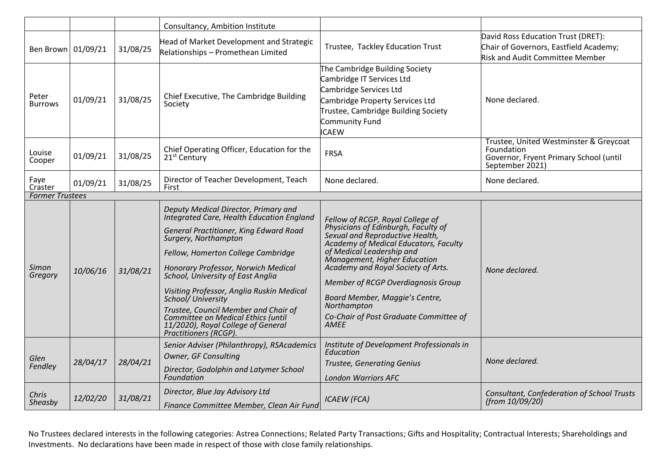|                         |          |          | Consultancy, Ambition Institute                                                                                                                                                                                                                                                                                                                                                                                                                                                      |                                                                                                                                                                                                                                                                                                                                                                                                        |                                                                                                                        |
|-------------------------|----------|----------|--------------------------------------------------------------------------------------------------------------------------------------------------------------------------------------------------------------------------------------------------------------------------------------------------------------------------------------------------------------------------------------------------------------------------------------------------------------------------------------|--------------------------------------------------------------------------------------------------------------------------------------------------------------------------------------------------------------------------------------------------------------------------------------------------------------------------------------------------------------------------------------------------------|------------------------------------------------------------------------------------------------------------------------|
| Ben Brown 01/09/21      |          | 31/08/25 | Head of Market Development and Strategic<br>Relationships - Promethean Limited                                                                                                                                                                                                                                                                                                                                                                                                       | Trustee, Tackley Education Trust                                                                                                                                                                                                                                                                                                                                                                       | David Ross Education Trust (DRET):<br>Chair of Governors, Eastfield Academy;<br><b>Risk and Audit Committee Member</b> |
| Peter<br><b>Burrows</b> | 01/09/21 | 31/08/25 | Chief Executive, The Cambridge Building<br>Society                                                                                                                                                                                                                                                                                                                                                                                                                                   | The Cambridge Building Society<br>Cambridge IT Services Ltd<br>Cambridge Services Ltd<br>Cambridge Property Services Ltd<br>Trustee, Cambridge Building Society<br>Community Fund<br><b>ICAEW</b>                                                                                                                                                                                                      | None declared.                                                                                                         |
| Louise<br>Cooper        | 01/09/21 | 31/08/25 | Chief Operating Officer, Education for the<br>21 <sup>st</sup> Century                                                                                                                                                                                                                                                                                                                                                                                                               | <b>FRSA</b>                                                                                                                                                                                                                                                                                                                                                                                            | Trustee, United Westminster & Greycoat<br>Foundation<br>Governor, Fryent Primary School (until<br>September 2021)      |
| Faye<br>Craster         | 01/09/21 | 31/08/25 | Director of Teacher Development, Teach<br>First                                                                                                                                                                                                                                                                                                                                                                                                                                      | None declared.                                                                                                                                                                                                                                                                                                                                                                                         | None declared.                                                                                                         |
| <b>Former Trustees</b>  |          |          |                                                                                                                                                                                                                                                                                                                                                                                                                                                                                      |                                                                                                                                                                                                                                                                                                                                                                                                        |                                                                                                                        |
| Simon<br>Gregory        | 10/06/16 | 31/08/21 | Deputy Medical Director, Primary and<br>Integrated Care, Health Education England<br>General Practitioner, King Edward Road<br>Surgery, Northampton<br>Fellow, Homerton College Cambridge<br>Honorary Professor, Norwich Medical<br>School, University of East Anglia<br>Visiting Professor, Anglia Ruskin Medical<br>School/University<br>Trustee, Council Member and Chair of<br>Committee on Medical Ethics (until<br>11/2020), Royal College of General<br>Practitioners (RCGP). | Fellow of RCGP, Royal College of<br>Physicians of Edinburgh, Faculty of<br>Sexual and Reproductive Health,<br>Academy of Medical Educators, Faculty<br>of Medical Leadership and<br>Management, Higher Education<br>Academy and Royal Society of Arts.<br>Member of RCGP Overdiagnosis Group<br>Board Member, Maggie's Centre,<br>Northampton<br>Co-Chair of Post Graduate Committee of<br><b>AMEE</b> | None declared.                                                                                                         |
| Glen<br>Fendley         | 28/04/17 | 28/04/21 | Senior Adviser (Philanthropy), RSAcademics<br>Owner, GF Consulting<br>Director, Godolphin and Latymer School<br>Foundation                                                                                                                                                                                                                                                                                                                                                           | Institute of Development Professionals in<br>Education<br><b>Trustee, Generating Genius</b><br><b>London Warriors AFC</b>                                                                                                                                                                                                                                                                              | None declared.                                                                                                         |
| Chris<br>Sheasby        | 12/02/20 | 31/08/21 | Director, Blue Jay Advisory Ltd<br>Finance Committee Member, Clean Air Fund                                                                                                                                                                                                                                                                                                                                                                                                          | <b>ICAEW</b> (FCA)                                                                                                                                                                                                                                                                                                                                                                                     | Consultant, Confederation of School Trusts<br>(from 10/09/20)                                                          |

No Trustees declared interests in the following categories: Astrea Connections; Related Party Transactions; Gifts and Hospitality; Contractual Interests; Shareholdings and Investments. No declarations have been made in respect of those with close family relationships.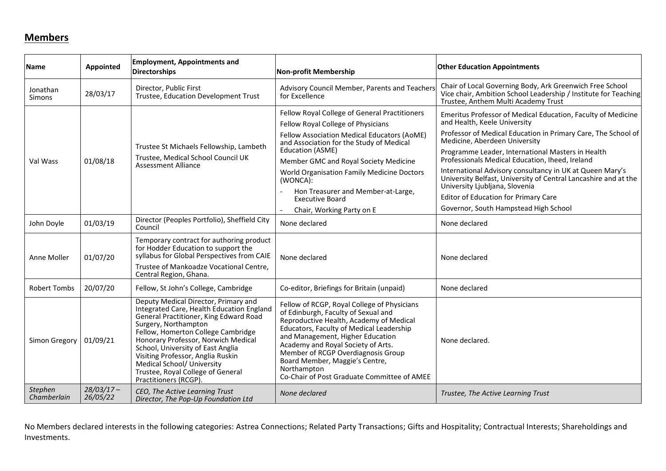## **Members**

| <b>Name</b>            | <b>Appointed</b>         | <b>Employment, Appointments and</b><br><b>Directorships</b>                                                                                                                                                                                                                                                                                                                                                  | <b>Non-profit Membership</b>                                                                                                                                                                                                                                                                                                                                                              | <b>Other Education Appointments</b>                                                                                                                                |
|------------------------|--------------------------|--------------------------------------------------------------------------------------------------------------------------------------------------------------------------------------------------------------------------------------------------------------------------------------------------------------------------------------------------------------------------------------------------------------|-------------------------------------------------------------------------------------------------------------------------------------------------------------------------------------------------------------------------------------------------------------------------------------------------------------------------------------------------------------------------------------------|--------------------------------------------------------------------------------------------------------------------------------------------------------------------|
| Jonathan<br>Simons     | 28/03/17                 | Director, Public First<br>Trustee, Education Development Trust                                                                                                                                                                                                                                                                                                                                               | Advisory Council Member, Parents and Teachers<br>for Excellence                                                                                                                                                                                                                                                                                                                           | Chair of Local Governing Body, Ark Greenwich Free School<br>Vice chair, Ambition School Leadership / Institute for Teaching<br>Trustee, Anthem Multi Academy Trust |
| Val Wass               | 01/08/18                 | Trustee St Michaels Fellowship, Lambeth<br>Trustee, Medical School Council UK<br><b>Assessment Alliance</b>                                                                                                                                                                                                                                                                                                  | Fellow Royal College of General Practitioners                                                                                                                                                                                                                                                                                                                                             | Emeritus Professor of Medical Education, Faculty of Medicine                                                                                                       |
|                        |                          |                                                                                                                                                                                                                                                                                                                                                                                                              | Fellow Royal College of Physicians                                                                                                                                                                                                                                                                                                                                                        | and Health, Keele University                                                                                                                                       |
|                        |                          |                                                                                                                                                                                                                                                                                                                                                                                                              | Fellow Association Medical Educators (AoME)<br>and Association for the Study of Medical<br>Education (ASME)                                                                                                                                                                                                                                                                               | Professor of Medical Education in Primary Care, The School of<br>Medicine, Aberdeen University                                                                     |
|                        |                          |                                                                                                                                                                                                                                                                                                                                                                                                              |                                                                                                                                                                                                                                                                                                                                                                                           | Programme Leader, International Masters in Health                                                                                                                  |
|                        |                          |                                                                                                                                                                                                                                                                                                                                                                                                              | Member GMC and Royal Society Medicine                                                                                                                                                                                                                                                                                                                                                     | Professionals Medical Education, Iheed, Ireland                                                                                                                    |
|                        |                          |                                                                                                                                                                                                                                                                                                                                                                                                              | World Organisation Family Medicine Doctors<br>(WONCA):<br>Hon Treasurer and Member-at-Large,<br><b>Executive Board</b>                                                                                                                                                                                                                                                                    | International Advisory consultancy in UK at Queen Mary's<br>University Belfast, University of Central Lancashire and at the<br>University Ljubljana, Slovenia      |
|                        |                          |                                                                                                                                                                                                                                                                                                                                                                                                              |                                                                                                                                                                                                                                                                                                                                                                                           | <b>Editor of Education for Primary Care</b>                                                                                                                        |
|                        |                          |                                                                                                                                                                                                                                                                                                                                                                                                              | Chair, Working Party on E                                                                                                                                                                                                                                                                                                                                                                 | Governor, South Hampstead High School                                                                                                                              |
| John Doyle             | 01/03/19                 | Director (Peoples Portfolio), Sheffield City<br>Council                                                                                                                                                                                                                                                                                                                                                      | None declared                                                                                                                                                                                                                                                                                                                                                                             | None declared                                                                                                                                                      |
| Anne Moller            | 01/07/20                 | Temporary contract for authoring product<br>for Hodder Education to support the<br>syllabus for Global Perspectives from CAIE<br>Trustee of Mankoadze Vocational Centre,                                                                                                                                                                                                                                     | None declared                                                                                                                                                                                                                                                                                                                                                                             | None declared                                                                                                                                                      |
|                        |                          | Central Region, Ghana.                                                                                                                                                                                                                                                                                                                                                                                       |                                                                                                                                                                                                                                                                                                                                                                                           |                                                                                                                                                                    |
| <b>Robert Tombs</b>    | 20/07/20                 | Fellow, St John's College, Cambridge                                                                                                                                                                                                                                                                                                                                                                         | Co-editor, Briefings for Britain (unpaid)                                                                                                                                                                                                                                                                                                                                                 | None declared                                                                                                                                                      |
| Simon Gregory          | 01/09/21                 | Deputy Medical Director, Primary and<br>Integrated Care, Health Education England<br>General Practitioner, King Edward Road<br>Surgery, Northampton<br>Fellow, Homerton College Cambridge<br>Honorary Professor, Norwich Medical<br>School, University of East Anglia<br>Visiting Professor, Anglia Ruskin<br>Medical School/ University<br>Trustee, Royal College of General<br><b>Practitioners (RCGP)</b> | Fellow of RCGP, Royal College of Physicians<br>of Edinburgh, Faculty of Sexual and<br>Reproductive Health, Academy of Medical<br>Educators, Faculty of Medical Leadership<br>and Management, Higher Education<br>Academy and Royal Society of Arts.<br>Member of RCGP Overdiagnosis Group<br>Board Member, Maggie's Centre,<br>Northampton<br>Co-Chair of Post Graduate Committee of AMEE | None declared.                                                                                                                                                     |
| Stephen<br>Chamberlain | $28/03/17 -$<br>26/05/22 | CEO, The Active Learning Trust<br>Director, The Pop-Up Foundation Ltd                                                                                                                                                                                                                                                                                                                                        | None declared                                                                                                                                                                                                                                                                                                                                                                             | Trustee, The Active Learning Trust                                                                                                                                 |

No Members declared interests in the following categories: Astrea Connections; Related Party Transactions; Gifts and Hospitality; Contractual Interests; Shareholdings and Investments.